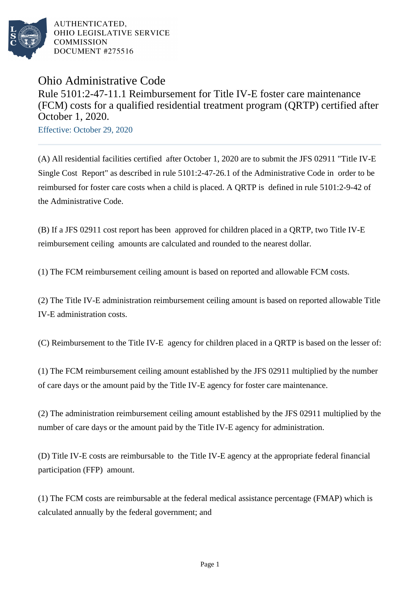

AUTHENTICATED. OHIO LEGISLATIVE SERVICE **COMMISSION DOCUMENT #275516** 

## Ohio Administrative Code Rule 5101:2-47-11.1 Reimbursement for Title IV-E foster care maintenance (FCM) costs for a qualified residential treatment program (QRTP) certified after October 1, 2020.

Effective: October 29, 2020

(A) All residential facilities certified after October 1, 2020 are to submit the JFS 02911 "Title IV-E Single Cost Report" as described in rule 5101:2-47-26.1 of the Administrative Code in order to be reimbursed for foster care costs when a child is placed. A QRTP is defined in rule 5101:2-9-42 of the Administrative Code.

(B) If a JFS 02911 cost report has been approved for children placed in a QRTP, two Title IV-E reimbursement ceiling amounts are calculated and rounded to the nearest dollar.

(1) The FCM reimbursement ceiling amount is based on reported and allowable FCM costs.

(2) The Title IV-E administration reimbursement ceiling amount is based on reported allowable Title IV-E administration costs.

(C) Reimbursement to the Title IV-E agency for children placed in a QRTP is based on the lesser of:

(1) The FCM reimbursement ceiling amount established by the JFS 02911 multiplied by the number of care days or the amount paid by the Title IV-E agency for foster care maintenance.

(2) The administration reimbursement ceiling amount established by the JFS 02911 multiplied by the number of care days or the amount paid by the Title IV-E agency for administration.

(D) Title IV-E costs are reimbursable to the Title IV-E agency at the appropriate federal financial participation (FFP) amount.

(1) The FCM costs are reimbursable at the federal medical assistance percentage (FMAP) which is calculated annually by the federal government; and